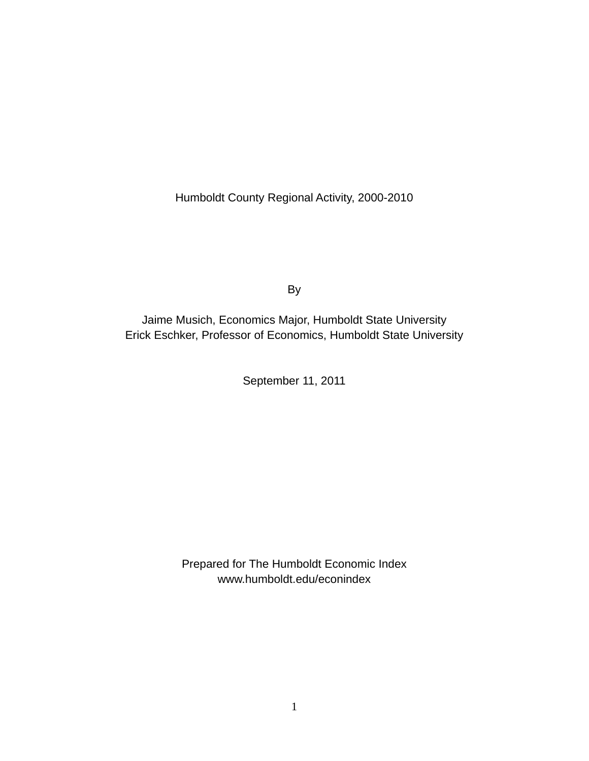Humboldt County Regional Activity, 2000-2010

By

Jaime Musich, Economics Major, Humboldt State University Erick Eschker, Professor of Economics, Humboldt State University

September 11, 2011

Prepared for The Humboldt Economic Index www.humboldt.edu/econindex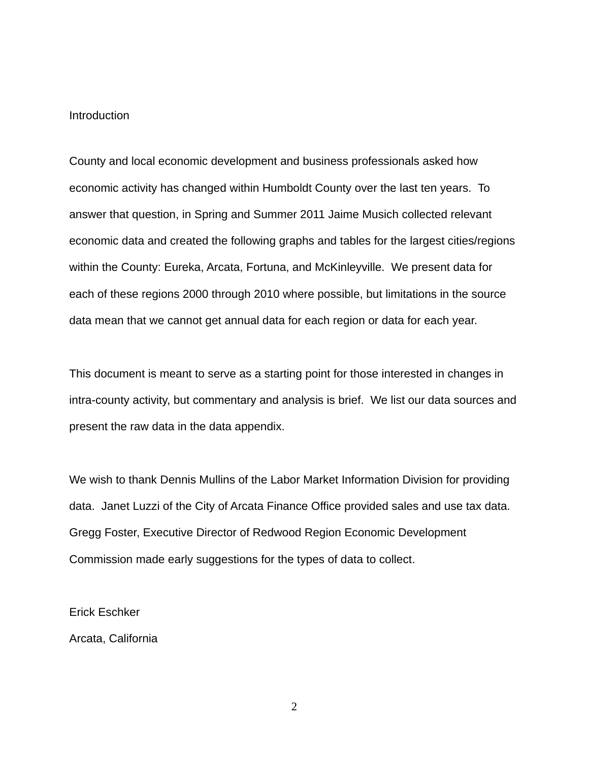#### Introduction

County and local economic development and business professionals asked how economic activity has changed within Humboldt County over the last ten years. To answer that question, in Spring and Summer 2011 Jaime Musich collected relevant economic data and created the following graphs and tables for the largest cities/regions within the County: Eureka, Arcata, Fortuna, and McKinleyville. We present data for each of these regions 2000 through 2010 where possible, but limitations in the source data mean that we cannot get annual data for each region or data for each year.

This document is meant to serve as a starting point for those interested in changes in intra-county activity, but commentary and analysis is brief. We list our data sources and present the raw data in the data appendix.

We wish to thank Dennis Mullins of the Labor Market Information Division for providing data. Janet Luzzi of the City of Arcata Finance Office provided sales and use tax data. Gregg Foster, Executive Director of Redwood Region Economic Development Commission made early suggestions for the types of data to collect.

Erick Eschker

Arcata, California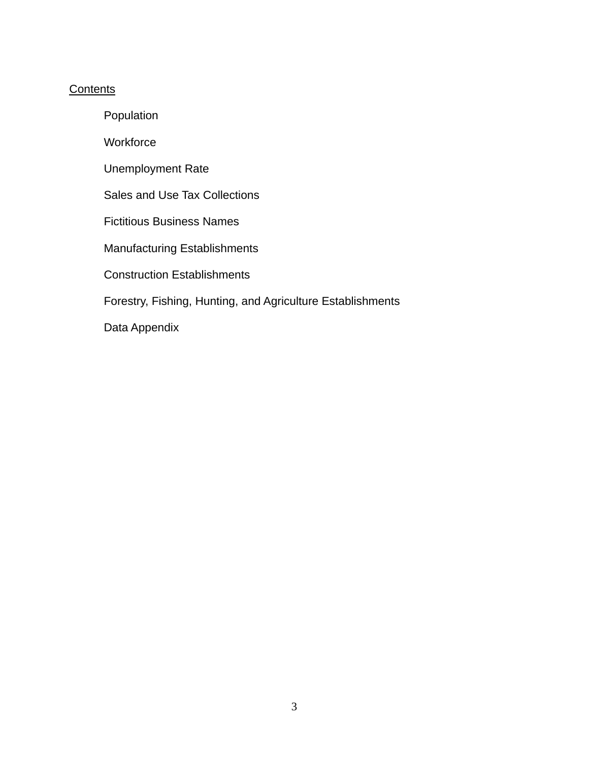### **Contents**

Population

**Workforce** 

Unemployment Rate

Sales and Use Tax Collections

Fictitious Business Names

Manufacturing Establishments

Construction Establishments

Forestry, Fishing, Hunting, and Agriculture Establishments

Data Appendix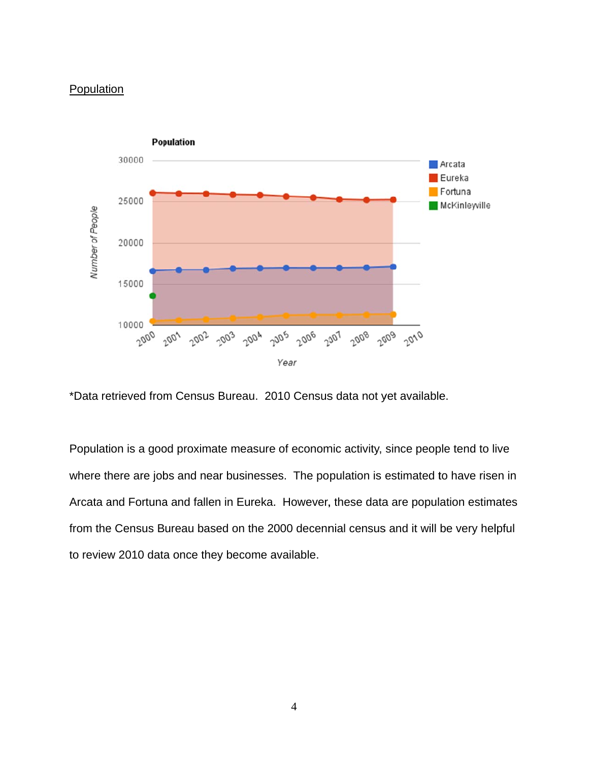#### Population



\*Data retrieved from Census Bureau. 2010 Census data not yet available.

Population is a good proximate measure of economic activity, since people tend to live where there are jobs and near businesses. The population is estimated to have risen in Arcata and Fortuna and fallen in Eureka. However, these data are population estimates from the Census Bureau based on the 2000 decennial census and it will be very helpful to review 2010 data once they become available.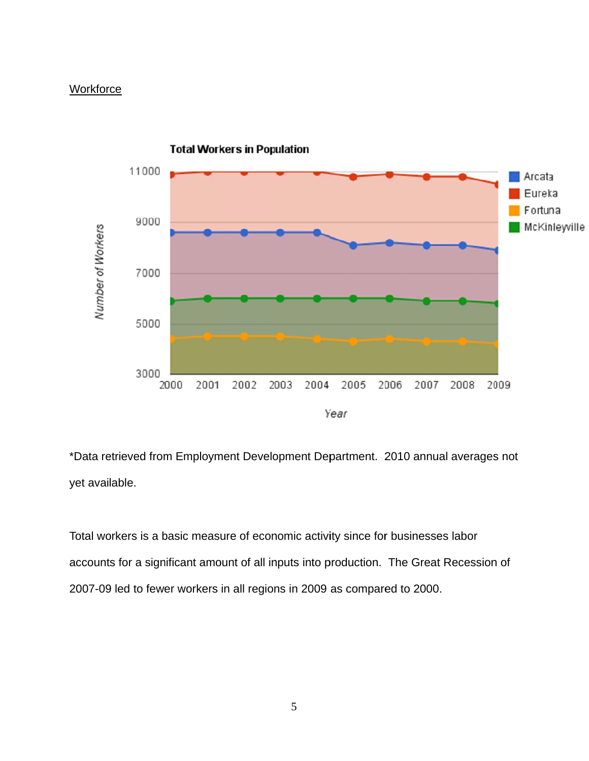#### **Workforce**



\*Data retrieved from Employment Development Department. 2010 annual averages not yet available.

Total workers is a basic measure of economic activity since for businesses labor accounts for a significant amount of all inputs into production. The Great Recession of 2007-09 led to fewer workers in all regions in 2009 as compared to 2000.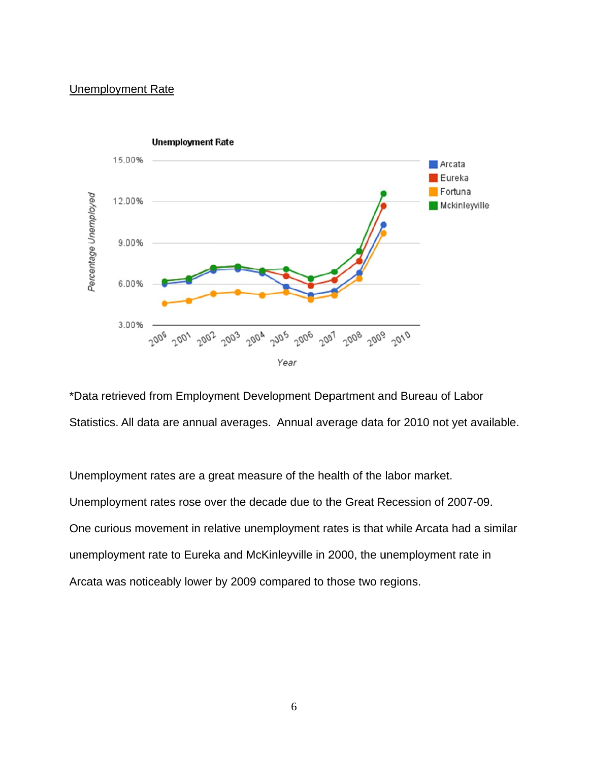#### **Unemployment Rate**



\*Data retrieved from Employment Development Department and Bureau of Labor Statistics. All data are annual averages. Annual average data for 2010 not yet available.

Unemployment rates are a great measure of the health of the labor market. Unemployment rates rose over the decade due to the Great Recession of 2007-09. One curious movement in relative unemployment rates is that while Arcata had a similar unemployment rate to Eureka and McKinleyville in 2000, the unemployment rate in Arcata was noticeably lower by 2009 compared to those two regions.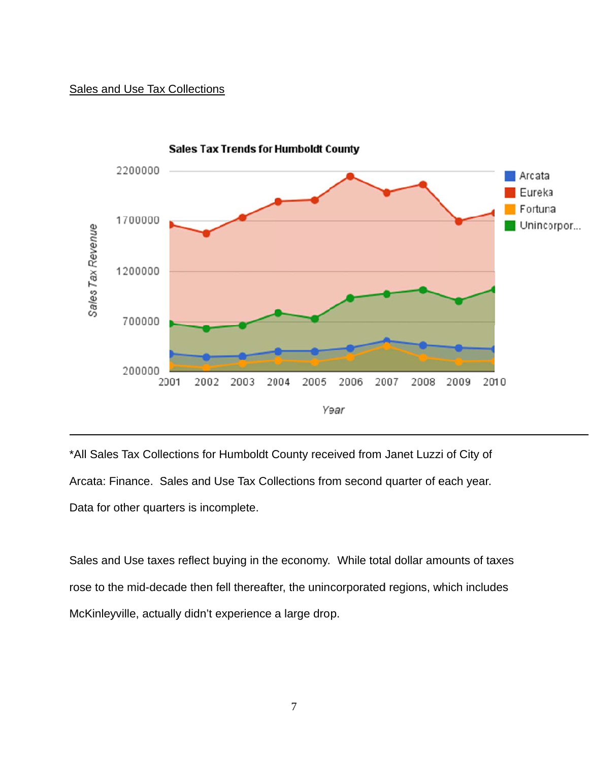#### Sales and Use Tax Collections



Sales Tax Trends for Humboldt County

\*All Sales Tax Collections for Humboldt County received from Janet Luzzi of City of Arcata: Finance. Sales and Use Tax Collections from second quarter of each year. Data for other quarters is incomplete.

Sales and Use taxes reflect buying in the economy. While total dollar amounts of taxes rose to the mid-decade then fell thereafter, the unincorporated regions, which includes McKinleyville, actually didn't experience a large drop.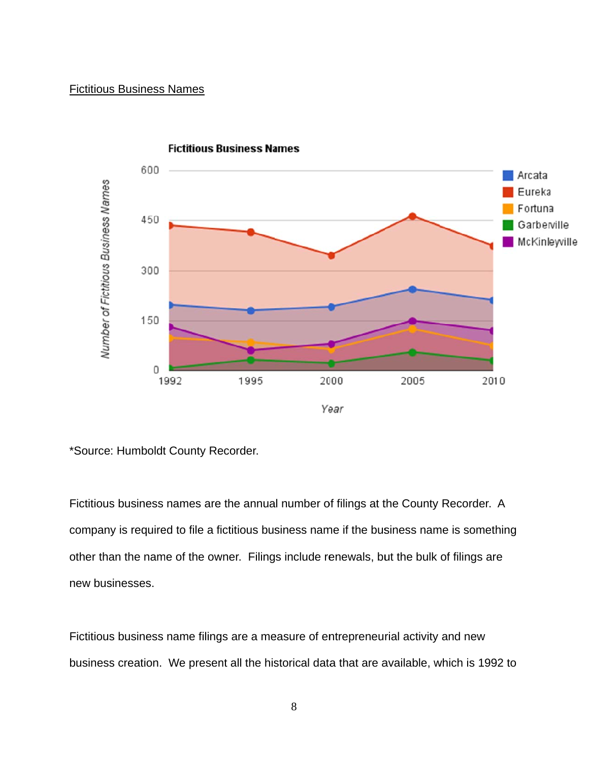#### **Fictitious Business Names**



**Fictitious Business Names** 

\*Source: Humboldt County Recorder.

Fictitious business names are the annual number of filings at the County Recorder. A company is required to file a fictitious business name if the business name is something other than the name of the owner. Filings include renewals, but the bulk of filings are new bus sinesses.

Fictitious business name filings are a measure of entrepreneurial activity and new business creation. We present all the historical data that are available, which is 1992 to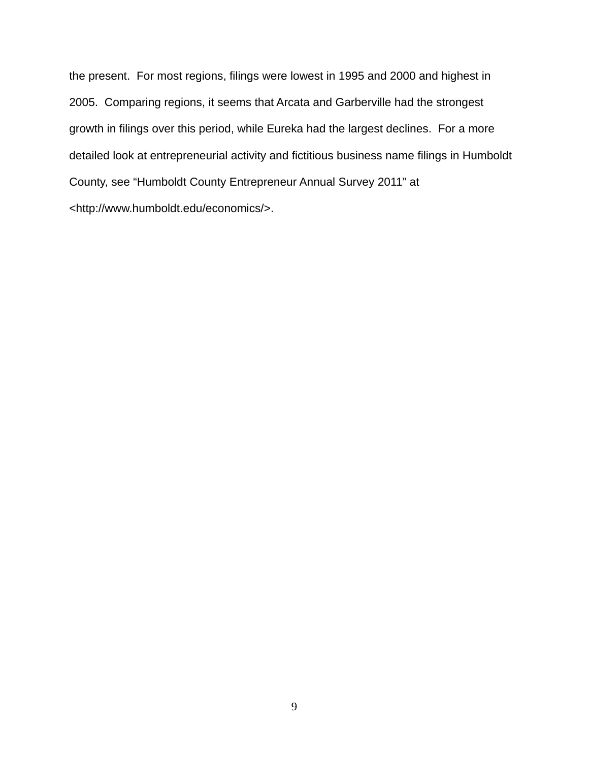the present. For most regions, filings were lowest in 1995 and 2000 and highest in 2005. Comparing regions, it seems that Arcata and Garberville had the strongest growth in filings over this period, while Eureka had the largest declines. For a more detailed look at entrepreneurial activity and fictitious business name filings in Humboldt County, see "Humboldt County Entrepreneur Annual Survey 2011" at <http://www.humboldt.edu/economics/>.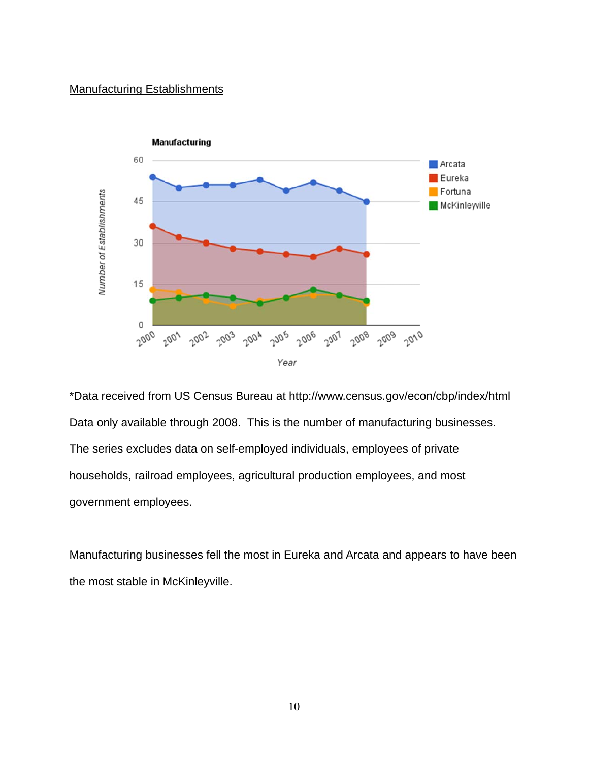#### **Manufacturing Establishments**



\*Data received from US Census Bureau at http://www.census.gov/econ/cbp/index/html Data only available through 2008. This is the number of manufacturing businesses. The series excludes data on self-employed individuals, employees of private households, railroad employees, agricultural production employees, and most government employees.

Manufacturing businesses fell the most in Eureka and Arcata and appears to have been the most stable in McKinleyville.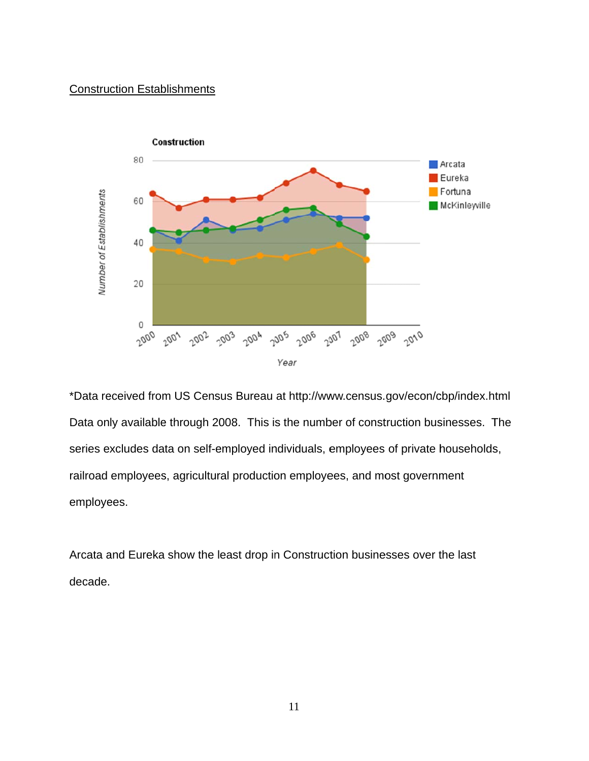#### **Construction Establishments**



\*Data received from US Census Bureau at http://www.census.gov/econ/cbp/index.html Data only available through 2008. This is the number of construction businesses. The series excludes data on self-employed individuals, employees of private households, railroad employees, agricultural production employees, and most government employees.

Arcata and Eureka show the least drop in Construction businesses over the last decade.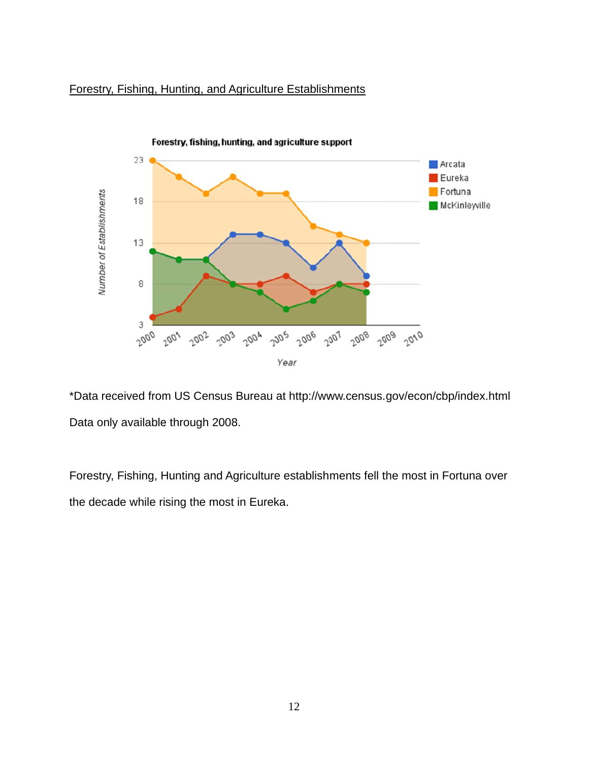#### Forestry, Fishing, Hunting, and Agriculture Establishments



\*Data received from US Census Bureau at http://www.census.gov/econ/cbp/index.html Data only available through 2008.

Forestry, Fishing, Hunting and Agriculture establishments fell the most in Fortuna over the decade while rising the most in Eureka.

12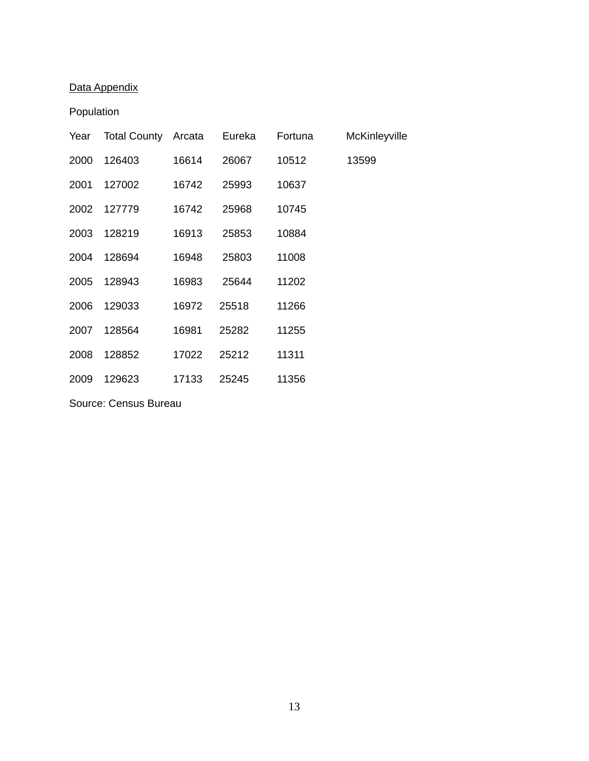# Data Appendix

## Population

| Year | <b>Total County Arcata</b> |       | Eureka | Fortuna | McKinleyville |
|------|----------------------------|-------|--------|---------|---------------|
| 2000 | 126403                     | 16614 | 26067  | 10512   | 13599         |
| 2001 | 127002                     | 16742 | 25993  | 10637   |               |
| 2002 | 127779                     | 16742 | 25968  | 10745   |               |
| 2003 | 128219                     | 16913 | 25853  | 10884   |               |
| 2004 | 128694                     | 16948 | 25803  | 11008   |               |
| 2005 | 128943                     | 16983 | 25644  | 11202   |               |
| 2006 | 129033                     | 16972 | 25518  | 11266   |               |
| 2007 | 128564                     | 16981 | 25282  | 11255   |               |
| 2008 | 128852                     | 17022 | 25212  | 11311   |               |
| 2009 | 129623                     | 17133 | 25245  | 11356   |               |

Source: Census Bureau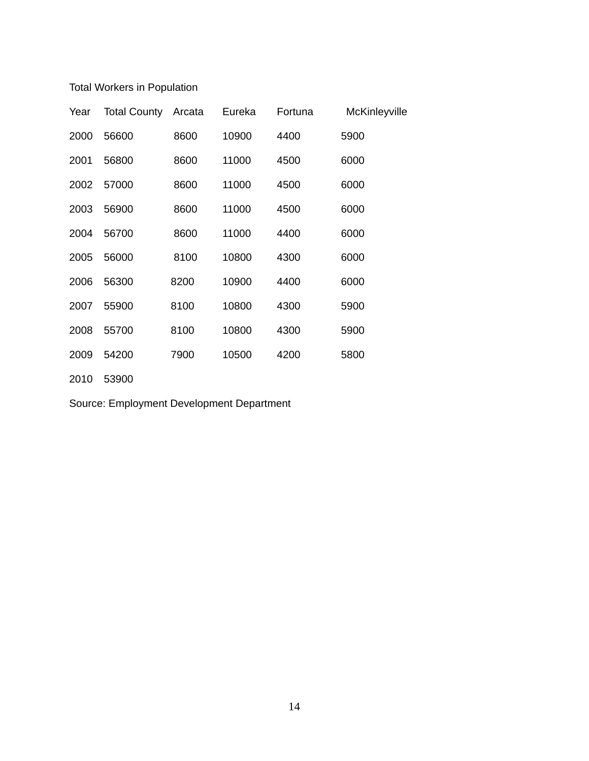## Total Workers in Population

| Year | <b>Total County</b> | Arcata | Eureka | Fortuna | McKinleyville |
|------|---------------------|--------|--------|---------|---------------|
| 2000 | 56600               | 8600   | 10900  | 4400    | 5900          |
| 2001 | 56800               | 8600   | 11000  | 4500    | 6000          |
| 2002 | 57000               | 8600   | 11000  | 4500    | 6000          |
| 2003 | 56900               | 8600   | 11000  | 4500    | 6000          |
| 2004 | 56700               | 8600   | 11000  | 4400    | 6000          |
| 2005 | 56000               | 8100   | 10800  | 4300    | 6000          |
| 2006 | 56300               | 8200   | 10900  | 4400    | 6000          |
| 2007 | 55900               | 8100   | 10800  | 4300    | 5900          |
| 2008 | 55700               | 8100   | 10800  | 4300    | 5900          |
| 2009 | 54200               | 7900   | 10500  | 4200    | 5800          |
| 2010 | 53900               |        |        |         |               |

Source: Employment Development Department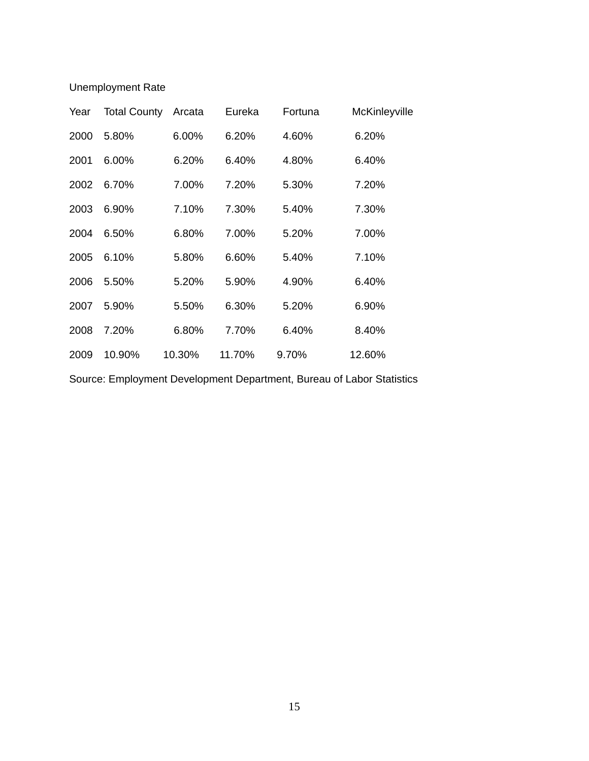Unemployment Rate

| Year | <b>Total County</b> | Arcata | Eureka | Fortuna | McKinleyville |
|------|---------------------|--------|--------|---------|---------------|
| 2000 | 5.80%               | 6.00%  | 6.20%  | 4.60%   | 6.20%         |
| 2001 | 6.00%               | 6.20%  | 6.40%  | 4.80%   | 6.40%         |
| 2002 | 6.70%               | 7.00%  | 7.20%  | 5.30%   | 7.20%         |
| 2003 | 6.90%               | 7.10%  | 7.30%  | 5.40%   | 7.30%         |
| 2004 | 6.50%               | 6.80%  | 7.00%  | 5.20%   | 7.00%         |
| 2005 | 6.10%               | 5.80%  | 6.60%  | 5.40%   | 7.10%         |
| 2006 | 5.50%               | 5.20%  | 5.90%  | 4.90%   | 6.40%         |
| 2007 | 5.90%               | 5.50%  | 6.30%  | 5.20%   | 6.90%         |
| 2008 | 7.20%               | 6.80%  | 7.70%  | 6.40%   | 8.40%         |
| 2009 | 10.90%              | 10.30% | 11.70% | 9.70%   | 12.60%        |

Source: Employment Development Department, Bureau of Labor Statistics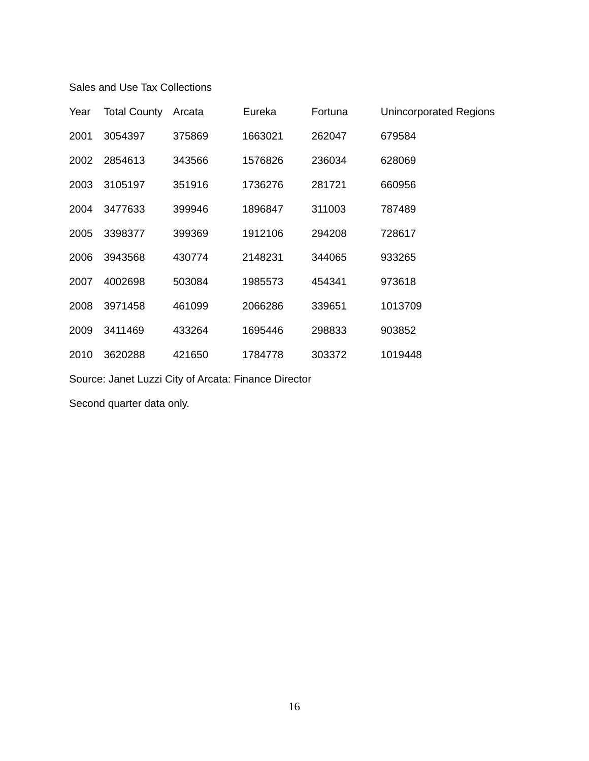#### Sales and Use Tax Collections

| Year | <b>Total County</b> | Arcata | Eureka  | Fortuna | Unincorporated Regions |
|------|---------------------|--------|---------|---------|------------------------|
| 2001 | 3054397             | 375869 | 1663021 | 262047  | 679584                 |
| 2002 | 2854613             | 343566 | 1576826 | 236034  | 628069                 |
| 2003 | 3105197             | 351916 | 1736276 | 281721  | 660956                 |
| 2004 | 3477633             | 399946 | 1896847 | 311003  | 787489                 |
| 2005 | 3398377             | 399369 | 1912106 | 294208  | 728617                 |
| 2006 | 3943568             | 430774 | 2148231 | 344065  | 933265                 |
| 2007 | 4002698             | 503084 | 1985573 | 454341  | 973618                 |
| 2008 | 3971458             | 461099 | 2066286 | 339651  | 1013709                |
| 2009 | 3411469             | 433264 | 1695446 | 298833  | 903852                 |
| 2010 | 3620288             | 421650 | 1784778 | 303372  | 1019448                |

Source: Janet Luzzi City of Arcata: Finance Director

Second quarter data only.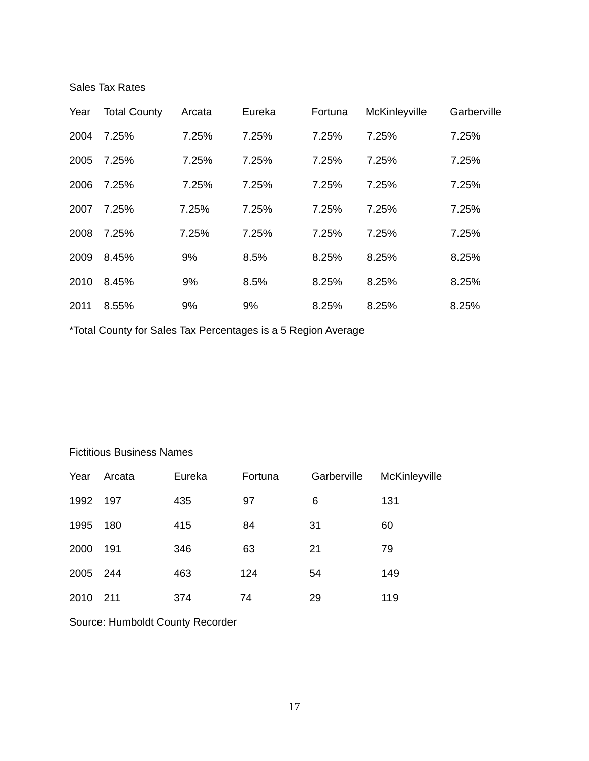Sales Tax Rates

| Year | <b>Total County</b> | Arcata | Eureka | Fortuna | McKinleyville | Garberville |
|------|---------------------|--------|--------|---------|---------------|-------------|
| 2004 | 7.25%               | 7.25%  | 7.25%  | 7.25%   | 7.25%         | 7.25%       |
| 2005 | 7.25%               | 7.25%  | 7.25%  | 7.25%   | 7.25%         | 7.25%       |
| 2006 | 7.25%               | 7.25%  | 7.25%  | 7.25%   | 7.25%         | 7.25%       |
| 2007 | 7.25%               | 7.25%  | 7.25%  | 7.25%   | 7.25%         | 7.25%       |
| 2008 | 7.25%               | 7.25%  | 7.25%  | 7.25%   | 7.25%         | 7.25%       |
| 2009 | 8.45%               | 9%     | 8.5%   | 8.25%   | 8.25%         | 8.25%       |
| 2010 | 8.45%               | 9%     | 8.5%   | 8.25%   | 8.25%         | 8.25%       |
| 2011 | 8.55%               | 9%     | 9%     | 8.25%   | 8.25%         | 8.25%       |

\*Total County for Sales Tax Percentages is a 5 Region Average

Fictitious Business Names

| Year | Arcata | Eureka | Fortuna | Garberville | McKinleyville |
|------|--------|--------|---------|-------------|---------------|
| 1992 | 197    | 435    | 97      | 6           | 131           |
| 1995 | 180    | 415    | 84      | 31          | 60            |
| 2000 | 191    | 346    | 63      | 21          | 79            |
| 2005 | - 244  | 463    | 124     | 54          | 149           |
| 2010 | 211    | 374    | 74      | 29          | 119           |

Source: Humboldt County Recorder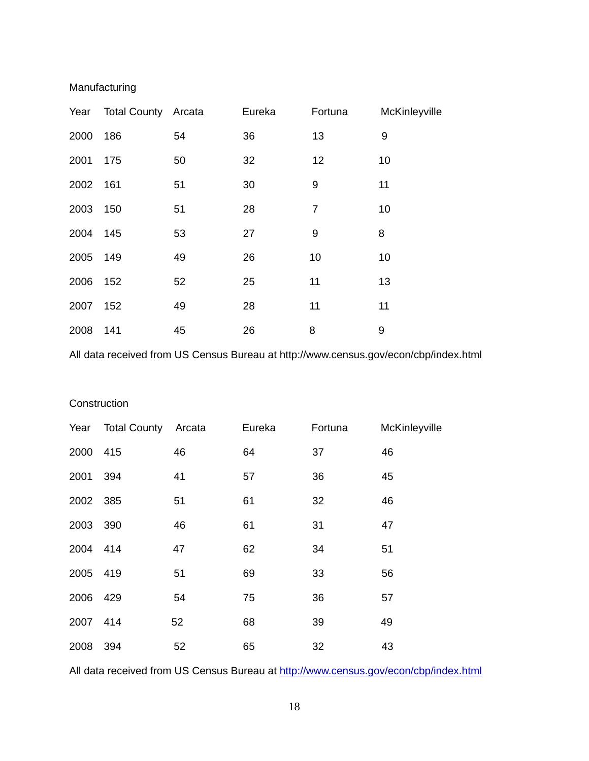## Manufacturing

|          | Year Total County Arcata |    | Eureka | Fortuna        | McKinleyville |
|----------|--------------------------|----|--------|----------------|---------------|
| 2000     | 186                      | 54 | 36     | 13             | 9             |
| 2001     | 175                      | 50 | 32     | 12             | 10            |
| 2002 161 |                          | 51 | 30     | 9              | 11            |
| 2003 150 |                          | 51 | 28     | $\overline{7}$ | 10            |
| 2004 145 |                          | 53 | 27     | 9              | 8             |
| 2005 149 |                          | 49 | 26     | 10             | 10            |
| 2006 152 |                          | 52 | 25     | 11             | 13            |
| 2007     | 152                      | 49 | 28     | 11             | 11            |
| 2008     | 141                      | 45 | 26     | 8              | 9             |

All data received from US Census Bureau at http://www.census.gov/econ/cbp/index.html

#### **Construction**

|          | Year Total County Arcata |    | Eureka | Fortuna | McKinleyville |
|----------|--------------------------|----|--------|---------|---------------|
| 2000 415 |                          | 46 | 64     | 37      | 46            |
| 2001 394 |                          | 41 | 57     | 36      | 45            |
| 2002 385 |                          | 51 | 61     | 32      | 46            |
| 2003 390 |                          | 46 | 61     | 31      | 47            |
| 2004 414 |                          | 47 | 62     | 34      | 51            |
| 2005 419 |                          | 51 | 69     | 33      | 56            |
| 2006 429 |                          | 54 | 75     | 36      | 57            |
| 2007 414 |                          | 52 | 68     | 39      | 49            |
| 2008 394 |                          | 52 | 65     | 32      | 43            |

All data received from US Census Bureau at http://www.census.gov/econ/cbp/index.html